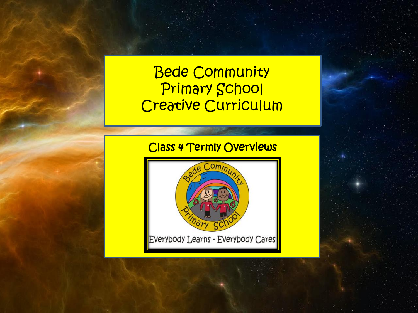# Bede Community Primary School Creative Curriculum

# Class 4 Termly Overviews

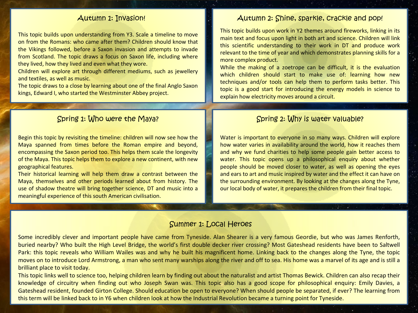This topic builds upon understanding from Y3. Scale a timeline to move on from the Romans: who came after them? Children should know that the Vikings followed, before a Saxon invasion and attempts to invade from Scotland. The topic draws a focus on Saxon life, including where they lived, how they lived and even what they wore.

Children will explore art through different mediums, such as jewellery and textiles, as well as music.

The topic draws to a close by learning about one of the final Anglo Saxon kings, Edward I, who started the Westminster Abbey project.

Begin this topic by revisiting the timeline: children will now see how the Maya spanned from times before the Roman empire and beyond, encompassing the Saxon period too. This helps them scale the longevity of the Maya. This topic helps them to explore a new continent, with new geographical features.

Their historical learning will help them draw a contrast between the Maya, themselves and other periods learned about from history. The use of shadow theatre will bring together science, DT and music into a meaningful experience of this south American civilisation.

#### Autumn 1: Invasion!

This topic builds upon work in Y2 themes around fireworks, linking in its main text and focus upon light in both art and science. Children will link this scientific understanding to their work in DT and produce work relevant to the time of year and which demonstrates planning skills for a more complex product.

While the making of a zoetrope can be difficult, it is the evaluation which children should start to make use of: learning how new techniques and/or tools can help them to perform tasks better. This topic is a good start for introducing the energy models in science to explain how electricity moves around a circuit.

### Spring 1: Who were the Maya?

Water is important to everyone in so many ways. Children will explore how water varies in availability around the world, how it reaches them and why we fund charities to help some people gain better access to water. This topic opens up a philosophical enquiry about whether people should be moved closer to water, as well as opening the eyes and ears to art and music inspired by water and the effect it can have on the surrounding environment. By looking at the changes along the Tyne, our local body of water, it prepares the children from their final topic.

### Summer 1: Local Heroes

Some incredibly clever and important people have came from Tyneside. Alan Shearer is a very famous Geordie, but who was James Renforth, buried nearby? Who built the High Level Bridge, the world's first double decker river crossing? Most Gateshead residents have been to Saltwell Park: this topic reveals who William Wailes was and why he built his magnificent home. Linking back to the changes along the Tyne, the topic moves on to introduce Lord Armstrong, a man who sent many warships along the river and off to sea. His home was a marvel of its age and is still a brilliant place to visit today.

This topic links well to science too, helping children learn by finding out about the naturalist and artist Thomas Bewick. Children can also recap their knowledge of circuitry when finding out who Joseph Swan was. This topic also has a good scope for philosophical enquiry: Emily Davies, a Gateshead resident, founded Girton College. Should education be open to everyone? When should people be separated, if ever? The learning from this term will be linked back to in Y6 when children look at how the Industrial Revolution became a turning point for Tyneside.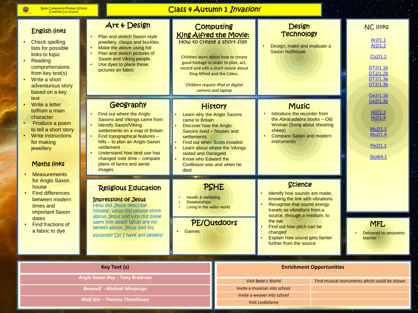Class 4 Autumn 1 Invasion!

| <b>English links</b><br><b>Check spelling</b><br>lists for possible<br>links to topic<br>Reading<br>comprehensions<br>from key text(s)<br>Write a short<br>adventurous story<br>based on a key<br>text<br>Write a letter<br>to/from a main<br>character<br>Produce a poem<br>to tell a short story<br><b>Write instructions</b><br>for making<br>jewellery<br>Maths links<br><b>Measurements</b> | Art & Design<br>Plan and sketch Saxon-style<br>jewellery, clasps and buckles.<br>Make the above using foil<br>Plan and sketch pictures of<br><b>Saxon and Viking people</b><br>Use dyes to place these<br>pictures on fabric                                                                                                          | How to create a short film                                                                                                                                                                                                                                                                                                                                                                                            | Computing<br>King Alfred the Movie:<br>Children learn about how to create<br>good footage in order to plan, act,<br>record and edit a short movie about<br>King Alfred and the Cakes.<br>Children require iPad or digital<br>camera and laptop | <b>Design</b><br><b>Technology</b><br>Design, make and evaluate a<br>Saxon hut/house                                                                                                                                                                                                               |  | <b>NC links</b><br>Ar2/1.1<br>Ar2/1.2<br>Co2/1.2<br>DT2/1.1b<br>DT2/1.2b<br>DT2/1.3a<br>DT2/1.3b |
|--------------------------------------------------------------------------------------------------------------------------------------------------------------------------------------------------------------------------------------------------------------------------------------------------------------------------------------------------------------------------------------------------|---------------------------------------------------------------------------------------------------------------------------------------------------------------------------------------------------------------------------------------------------------------------------------------------------------------------------------------|-----------------------------------------------------------------------------------------------------------------------------------------------------------------------------------------------------------------------------------------------------------------------------------------------------------------------------------------------------------------------------------------------------------------------|------------------------------------------------------------------------------------------------------------------------------------------------------------------------------------------------------------------------------------------------|----------------------------------------------------------------------------------------------------------------------------------------------------------------------------------------------------------------------------------------------------------------------------------------------------|--|--------------------------------------------------------------------------------------------------|
|                                                                                                                                                                                                                                                                                                                                                                                                  | Geography<br>Find out where the Anglo<br>Saxons and Vikings came from<br><b>Identify Saxon/Viking</b><br>settlements on a map of Britain<br>Find topographical features -<br>hills - to plan an Anglo-Saxon<br>settlement<br>Understand how land use has<br>changed over time - compare<br>plans of farms and aerial<br><i>images</i> | <b>History</b><br>Learn why the Anglo Saxons<br>came to Britain<br><b>Discover how the Anglo</b><br>Saxons lived - houses and<br>settlements<br>Find out when Scots invaded<br>Learn about where the Vikings<br>raided and Danegeld<br>Know who Edward the<br>Confessor was and when he<br>died<br>PSHE<br><b>Health &amp; wellbeing</b><br><b>Relationships</b><br>Living in the wider world<br>PE/Outdoors<br>Games |                                                                                                                                                                                                                                                | <b>Music</b><br>Introduce the recorder from<br>the Abracadabra books - Old<br>Woman (Song about shearing<br>sheep)<br><b>Compare Saxon and modern</b><br><i>instruments</i>                                                                                                                        |  | Ge2/1.1b<br>Ge2/1.3b<br>Hi2/1.3<br>Hi2/1.4<br>Mu2/1.1<br>Mu2/1.6<br>Pe2/1.1<br>Sci4/4.1          |
| for Anglo Saxon<br>house<br><b>Find differences</b><br>between modern<br>times and<br>important Saxon<br>dates<br><b>Find fractions of</b><br>a fabric to dye                                                                                                                                                                                                                                    | <b>Religious Education</b><br><b>Impressions of Jesus</b><br>How did Jesus describe<br>himself, what did people think<br>about Jesus and why did some<br>want him dead? What are my<br>beliefs about Jesus and his<br>purpose? Do I have any beliefs?                                                                                 |                                                                                                                                                                                                                                                                                                                                                                                                                       |                                                                                                                                                                                                                                                | <b>Science</b><br>Identify how sounds are made,<br>knowing the link with vibrations<br>Recognise that sound energy<br>travels as vibrations from a<br>source, through a medium, to<br>the ear<br>Find out how pitch can be<br>changed<br>Explain how sound gets fainter<br>further from the source |  | <b>MFL</b><br>Delivered by peripatetic<br>teacher                                                |
| <b>Key Text (s)</b><br><b>Enrichment Opportunities</b>                                                                                                                                                                                                                                                                                                                                           |                                                                                                                                                                                                                                                                                                                                       |                                                                                                                                                                                                                                                                                                                                                                                                                       |                                                                                                                                                                                                                                                |                                                                                                                                                                                                                                                                                                    |  |                                                                                                  |
| Anglo Saxon Boy - Tony Bradman<br><b>Beowulf - Michael Morpurgo</b><br><b>Wolf Girl - Theresa Thomlinson</b>                                                                                                                                                                                                                                                                                     |                                                                                                                                                                                                                                                                                                                                       |                                                                                                                                                                                                                                                                                                                                                                                                                       |                                                                                                                                                                                                                                                | <b>Visit Bede's World</b><br>Invite a musician into school<br>Invite a weaver into school<br>$U\left(\right)$ $+$ $\left(\right)$ $\left(\right)$ $\left(\right)$ $\left(\right)$ $\left(\right)$                                                                                                  |  | Find musical instruments which could be shown                                                    |

Visit Lindisfarne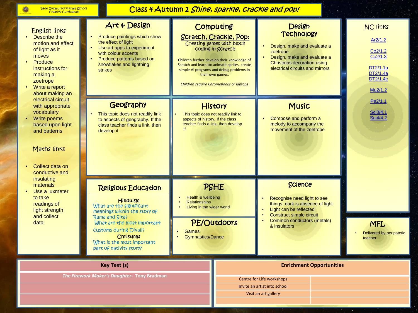Ô

# Class 4 Autumn 2 *Shine, sparkle, crackle and pop!*

| <b>English links</b><br>Describe the<br>motion and effect<br>of light as it<br>moves<br>Produce<br>instructions for<br>making a<br>zoetrope<br>Write a report<br>about making an | Art & Design<br>Produce paintings which show<br>the effect of light<br>Use art apps to experiment<br>with colour accents<br>Produce patterns based on<br>snowflakes and lightning<br><b>strikes</b>                                                               | Computing<br><b>Scratch, Crackle, Pop:</b><br>Creating games with block<br>coding in Scratch<br>Children further develop their knowledge of<br>Scratch and learn to: animate sprites, create<br>simple AI programs and debug problems in<br>their own games.<br>Children require Chromebooks or laptops | Design<br><b>Technology</b><br>Design, make and evaluate a<br>zoetrope<br>Design, make and evaluate a<br>Christmas decoration using<br>electrical circuits and mirrors                       | <b>NC links</b><br>Ar2/1.2<br>Co2/1.2<br>Co2/1.3<br>DT2/1.1a<br>DT2/1.4a<br>DT2/1.4c<br>Mu2/1.2 |
|----------------------------------------------------------------------------------------------------------------------------------------------------------------------------------|-------------------------------------------------------------------------------------------------------------------------------------------------------------------------------------------------------------------------------------------------------------------|---------------------------------------------------------------------------------------------------------------------------------------------------------------------------------------------------------------------------------------------------------------------------------------------------------|----------------------------------------------------------------------------------------------------------------------------------------------------------------------------------------------|-------------------------------------------------------------------------------------------------|
| electrical circuit<br>with appropriate<br>vocabulary<br>Write poems<br>based upon light<br>and patterns<br>Maths links<br>Collect data on<br>conductive and                      | Geography<br>This topic does not readily link<br>to aspects of geography. If the<br>class teacher finds a link, then<br>develop it!                                                                                                                               | <b>History</b><br>This topic does not readily link to<br>aspects of history. If the class<br>teacher finds a link, then develop<br>it!                                                                                                                                                                  | <b>Music</b><br>Compose and perform a<br>melody to accompany the<br>movement of the zoetrope                                                                                                 | Pe2/1.1<br>Sci3/4.1<br>Sci4/4.2                                                                 |
| insulating<br>materials<br>Use a luxmeter<br>to take<br>readings of<br>light strength<br>and collect<br>data                                                                     | <b>Religious Education</b><br><b>Hinduism</b><br>What are the significant<br>meanings within the story of<br>Rama and Sita?<br>What are the most important<br><b>Customs during Divali?</b><br>Christmas<br>What is the most important<br>part of nativity story? | <b>PSHE</b><br>Health & wellbeing<br><b>Relationships</b><br>Living in the wider world<br>PE/Outdoors<br><b>Games</b><br><b>Gymnastics/Dance</b>                                                                                                                                                        | <b>Science</b><br>Recognise need light to see<br>things; dark is absence of light<br>Light can be reflected<br><b>Construct simple circuit</b><br>Common conductors (metals)<br>& insulators | <b>MFL</b><br>Delivered by peripatetic<br>teacher                                               |
|                                                                                                                                                                                  | <b>Key Text (s)</b><br>The Firework Maker's Daughter- Tony Bradman                                                                                                                                                                                                |                                                                                                                                                                                                                                                                                                         | <b>Enrichment Opportunities</b><br>Centre for Life workshops                                                                                                                                 |                                                                                                 |

Invite an artist into school Visit an art gallery

×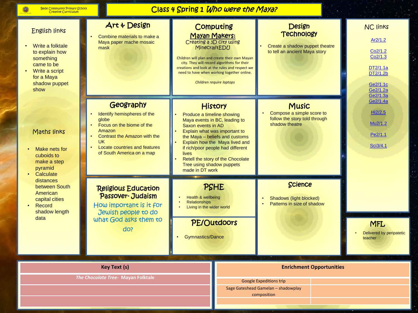6

# Class 4 Spring 1 Who were the Maya?

| <b>English links</b><br>Write a folktale<br>to explain how<br>something<br>came to be<br>Write a script<br>for a Maya<br>shadow puppet<br>show | Art & Design<br>Combine materials to make a<br>Maya paper mache mosaic<br>mask                                                                                                               | Computing<br>Mayan Makers:<br>Creating a 3D city using<br>MinecraftEDU                                                    | Children will plan and create their own Mayan<br>city. They will record algorithms for their<br>creations and look at the rules and respect we<br>need to have when working together online.<br>Children require laptops                                                                                                       | <b>Design</b><br><b>Technology</b><br>Create a shadow puppet theatre<br>to tell an ancient Maya story |                                                       | <b>NC links</b><br>Ar2/1.2<br>Co <sub>2</sub> /1.2<br>Co2/1.3<br>DT2/1.1a<br>DT2/1.2b<br>Ge2/1.1c<br>Ge2/1.2a<br>Ge2/1.3a |
|------------------------------------------------------------------------------------------------------------------------------------------------|----------------------------------------------------------------------------------------------------------------------------------------------------------------------------------------------|---------------------------------------------------------------------------------------------------------------------------|--------------------------------------------------------------------------------------------------------------------------------------------------------------------------------------------------------------------------------------------------------------------------------------------------------------------------------|-------------------------------------------------------------------------------------------------------|-------------------------------------------------------|---------------------------------------------------------------------------------------------------------------------------|
| Maths links<br>Make nets for<br>cuboids to<br>make a step<br>pyramid                                                                           | Geography<br>Identify hemispheres of the<br>globe<br>Focus on the biome of the<br>Amazon<br>Contrast the Amazon with the<br>UK<br>Locate countries and features<br>of South America on a map | Produce a timeline showing<br>Saxon events in AD<br>lives<br>Tree using shadow puppets<br>made in DT work                 | <b>History</b><br><b>Music</b><br>Compose a simple score to<br>follow the story told through<br>Maya events in BC, leading to<br>shadow theatre<br>Explain what was important to<br>the Maya - beliefs and customs<br>Explain how the Maya lived and<br>if rich/poor people had different<br>Retell the story of the Chocolate |                                                                                                       | Ge2/1.4a<br>Hi2/2.5<br>Mu2/1.2<br>Pe2/1.1<br>Sci3/4.1 |                                                                                                                           |
| Calculate<br>distances<br>between South<br>American<br>capital cities<br>Record<br>shadow length<br>data                                       | <b>Religious Education</b><br>Passover-Judaism<br>How important is it for<br>Jewish people to do<br>what God asks them to<br>do?                                                             | PSHE<br>Health & wellbeing<br><b>Relationships</b><br>Living in the wider world<br>PE/Outdoors<br><b>Gymnastics/Dance</b> |                                                                                                                                                                                                                                                                                                                                | <b>Science</b><br>Shadows (light blocked)<br>Patterns in size of shadow<br><b>MFL</b><br>teacher      |                                                       | Delivered by peripatetic                                                                                                  |
| <b>Key Text (s)</b><br>The Chocolate Tree- Mayan Folktale                                                                                      |                                                                                                                                                                                              |                                                                                                                           |                                                                                                                                                                                                                                                                                                                                | <b>Google Expeditions trip</b><br>Sage Gateshead Gamelan - shadowplay<br>composition                  | <b>Enrichment Opportunities</b>                       |                                                                                                                           |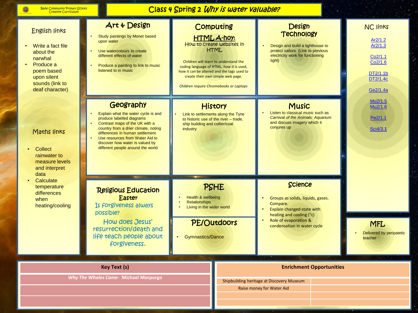6

# Class 4 Spring 2 Why is water valuable?

| <b>English links</b><br>Write a fact file<br>about the<br>narwhal<br>Produce a<br>poem based<br>upon silent<br>sounds (link to<br>deaf character) | Art & Design<br>Study paintings by Monet based<br>upon water<br>Use watercolours to create<br>different effects of water<br>Produce a painting to link to music<br>listened to in music                                                                                                               | Computing<br><b>HTML A-hoy:</b><br>How to create websites in<br><b>HTML</b><br>Children will learn to understand the<br>coding language of HTML, how it is used,<br>how it can be altered and the tags used to<br>create their own simple web page.<br>Children require Chromebooks or Laptops | <b>Design</b><br><b>Technology</b><br>Design and build a lighthouse to<br>protect sailors. (Link to previous<br>electricity work for functioning<br>light)                        | <b>NC links</b><br>Ar2/1.2<br>Ar2/1.3<br>Co2/1.1<br>Co2/1.6<br>DT2/1.1b<br>DT2/1.4c<br>Ge2/1.4a |
|---------------------------------------------------------------------------------------------------------------------------------------------------|-------------------------------------------------------------------------------------------------------------------------------------------------------------------------------------------------------------------------------------------------------------------------------------------------------|------------------------------------------------------------------------------------------------------------------------------------------------------------------------------------------------------------------------------------------------------------------------------------------------|-----------------------------------------------------------------------------------------------------------------------------------------------------------------------------------|-------------------------------------------------------------------------------------------------|
| Maths links<br>Collect<br>rainwater to<br>measure levels<br>and interpret                                                                         | Geography<br>Explain what the water cycle is and<br>produce labelled diagrams<br>Contrast maps of the UK with a<br>country from a drier climate, noting<br>differences in human settlement<br>Use resources from Water Aid to<br>discover how water is valued by<br>different people around the world | <b>History</b><br>Link to settlements along the Tyne<br>to historic use of the river - trade,<br>ship building and collier/coal<br>industry                                                                                                                                                    | <b>Music</b><br>Listen to classical music such as<br><b>Carnival of the Animals: Aquarium</b><br>and discuss imagery which it<br>conjures up                                      | Mu2/1.5<br>Mu2/1.6<br>Pe2/1.1<br>Sci4/3.1                                                       |
| data<br>Calculate<br>temperature<br>differences<br>when<br>heating/cooling                                                                        | <b>Religious Education</b><br>Easter<br>Is forgiveness always<br>possible?<br>How does Jesus'<br>resurrection/death and<br>life teach people about<br>forgiveness.                                                                                                                                    | PSHE<br>Health & wellbeing<br><b>Relationships</b><br>Living in the wider world<br>PE/Outdoors<br><b>Gymnastics/Dance</b>                                                                                                                                                                      | <b>Science</b><br>Groups as solids, liquids, gases.<br>Compare.<br>Explain changed state with<br>heating and cooling (°c)<br>Role of evaporation &<br>condensation in water cycle | <b>MFL</b><br>Delivered by peripatetic<br>teacher                                               |
|                                                                                                                                                   | <b>Key Text (s)</b><br>Why The Whales Came- Michael Morpurgo                                                                                                                                                                                                                                          |                                                                                                                                                                                                                                                                                                | Shipbuilding heritage at Discovery Museum<br>Raise money for Water Aid                                                                                                            | <b>Enrichment Opportunities</b>                                                                 |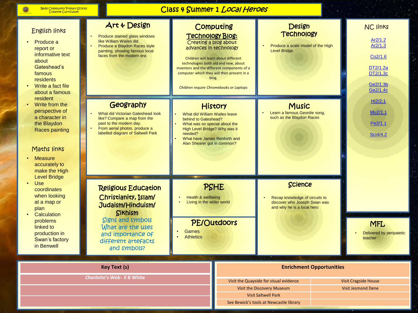6

# Class 4 Summer 1 Local Heroes

| <b>English links</b><br>Produce a<br>report or<br>informative text<br>about<br>Gateshead's<br>famous<br>residents<br>Write a fact file<br>about a famous<br>resident<br>Write from the<br>perspective of<br>a character in<br>the Blaydon<br>Races painting<br>Maths links<br><b>Measure</b><br>accurately to<br>make the High<br><b>Level Bridge</b><br><b>Use</b><br>coordinates<br>when looking<br>at a map or<br>plan<br>Calculation<br>problems<br>linked to<br>production in<br>Swan's factory<br>in Benwell | Art & Design<br>Produce stained glass windows<br>like William Wailes did<br>Produce a Blaydon Races style<br>painting, showing famous local<br>faces from the modern era                               | <b>Technology Blog:</b><br>Creating a blog about<br>advances in technology                                                                                                                                   | Computing<br>Children will learn about different<br>technologies both old and new, about<br>inventors and the different components of a<br>computer which they will then present in a<br>blog.<br>Children require Chromebooks or Laptops | <b>Design</b><br><b>Technology</b><br>Produce a scale model of the High<br><b>Level Bridge</b>                 |  | <b>NC links</b><br>Ar2/1.2<br>Ar2/1.3<br>Co <sub>2</sub> /1.6<br>DT2/1.2a<br>DT2/1.3c<br>Ge2/1.3b<br>Ge2/1.4c |
|--------------------------------------------------------------------------------------------------------------------------------------------------------------------------------------------------------------------------------------------------------------------------------------------------------------------------------------------------------------------------------------------------------------------------------------------------------------------------------------------------------------------|--------------------------------------------------------------------------------------------------------------------------------------------------------------------------------------------------------|--------------------------------------------------------------------------------------------------------------------------------------------------------------------------------------------------------------|-------------------------------------------------------------------------------------------------------------------------------------------------------------------------------------------------------------------------------------------|----------------------------------------------------------------------------------------------------------------|--|---------------------------------------------------------------------------------------------------------------|
|                                                                                                                                                                                                                                                                                                                                                                                                                                                                                                                    | Geography<br>What did Victorian Gateshead look<br>like? Compare a map from the<br>past to the modern day.<br>From aerial photos, produce a<br>labelled diagram of Saltwell Park                        | History<br>What did William Wailes leave<br>behind to Gateshead?<br>What was so special about the<br>High Level Bridge? Why was it<br>needed?<br>What have James Renforth and<br>Alan Shearer got in common? |                                                                                                                                                                                                                                           | <b>Music</b><br>Learn a famous Geordie song,<br>such as the Blaydon Races                                      |  | Hi2/2.1<br>Mu2/1.1<br>Pe2/1.1<br>Sci4/4.2                                                                     |
|                                                                                                                                                                                                                                                                                                                                                                                                                                                                                                                    | <b>Religious Education</b><br>Christianity, Islam/<br>Judaism/Hinduism/<br><b>Sikhism</b><br><b>Signs and symbols</b><br>What are the uses<br>and importance of<br>different artefacts<br>and symbols? | Health & wellbeing<br>$\bullet$<br>Living in the wider world<br><b>Games</b><br><b>Athletics</b>                                                                                                             | PSHE<br>PE/Outdoors                                                                                                                                                                                                                       | <b>Science</b><br>Recap knowledge of circuits to<br>discover who Joseph Swan was<br>and why he is a local hero |  | <b>MFL</b><br>Delivered by peripatetic<br>teacher                                                             |
| <b>Key Text (s)</b><br><b>Charlotte's Web- E B White</b>                                                                                                                                                                                                                                                                                                                                                                                                                                                           |                                                                                                                                                                                                        |                                                                                                                                                                                                              | <b>Enrichment Opportunities</b><br>Visit the Quayside for visual evidence<br><b>Visit Cragside House</b>                                                                                                                                  |                                                                                                                |  |                                                                                                               |
|                                                                                                                                                                                                                                                                                                                                                                                                                                                                                                                    |                                                                                                                                                                                                        |                                                                                                                                                                                                              | Visit the Discovery Museum<br><b>Visit Jesmond Dene</b><br><b>Visit Saltwell Park</b><br>See Bewick's tools at Newcastle library                                                                                                          |                                                                                                                |  |                                                                                                               |